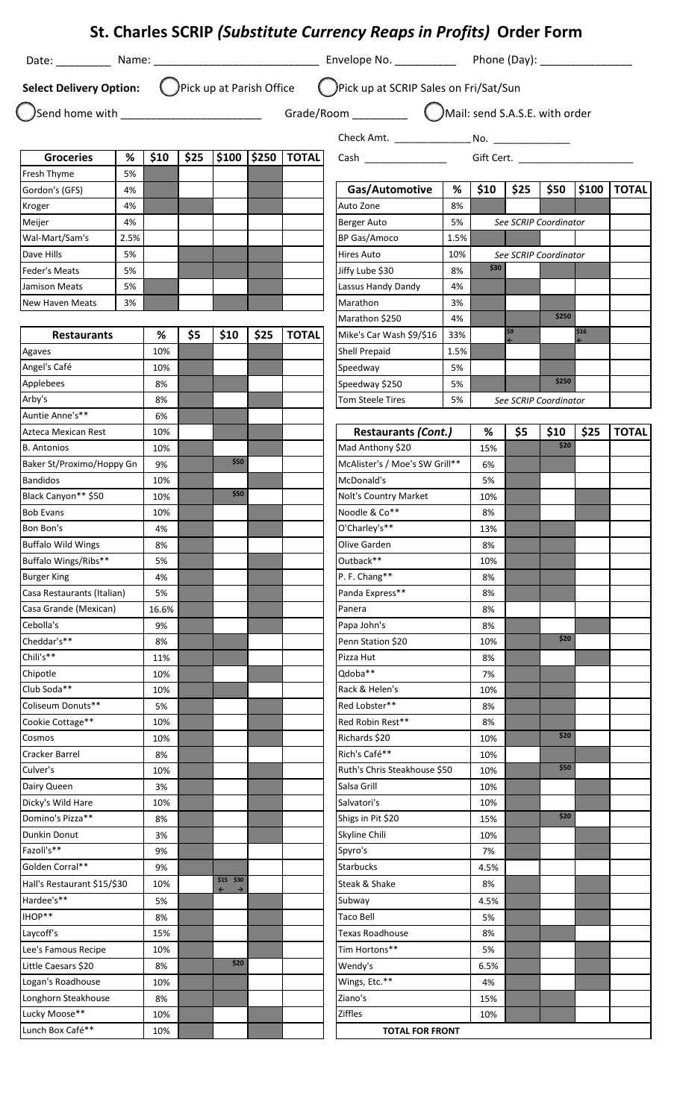|                                                   |         |          |      |                                           |      |                         | St. Charles SCRIP (Substitute Currency Reaps in Profits) Order Form                        |      |           |      |                       |      |                 |
|---------------------------------------------------|---------|----------|------|-------------------------------------------|------|-------------------------|--------------------------------------------------------------------------------------------|------|-----------|------|-----------------------|------|-----------------|
|                                                   |         |          |      |                                           |      |                         |                                                                                            |      |           |      |                       |      |                 |
|                                                   |         |          |      |                                           |      |                         | Select Delivery Option: (DPick up at Parish Office (DPick up at SCRIP Sales on Fri/Sat/Sun |      |           |      |                       |      |                 |
|                                                   |         |          |      |                                           |      |                         |                                                                                            |      |           |      |                       |      |                 |
|                                                   |         |          |      |                                           |      |                         |                                                                                            |      |           |      |                       |      |                 |
|                                                   |         |          |      |                                           |      | $ $100$ $ $250$   TOTAL |                                                                                            |      |           |      |                       |      |                 |
| <b>Groceries</b><br>Fresh Thyme                   | %<br>5% | \$10     | \$25 |                                           |      |                         |                                                                                            |      |           |      | Gift Cert.            |      |                 |
| Gordon's (GFS)                                    | 4%      |          |      |                                           |      |                         | Gas/Automotive                                                                             | %    | \$10      | \$25 | \$50                  |      | $ $100$   TOTAL |
| Kroger                                            | 4%      |          |      |                                           |      |                         | Auto Zone                                                                                  | 8%   |           |      |                       |      |                 |
| Meijer                                            | 4%      |          |      |                                           |      |                         | Berger Auto                                                                                | 5%   |           |      | See SCRIP Coordinator |      |                 |
| Wal-Mart/Sam's                                    | 2.5%    |          |      |                                           |      |                         | BP Gas/Amoco                                                                               | 1.5% |           |      |                       |      |                 |
| Dave Hills                                        | 5%      |          |      |                                           |      |                         | <b>Hires Auto</b>                                                                          | 10%  |           |      | See SCRIP Coordinator |      |                 |
| Feder's Meats                                     | 5%      |          |      |                                           |      |                         | Jiffy Lube \$30                                                                            | 8%   | \$30      |      |                       |      |                 |
| Jamison Meats                                     | 5%      |          |      |                                           |      |                         | Lassus Handy Dandy                                                                         | 4%   |           |      |                       |      |                 |
| New Haven Meats                                   | 3%      |          |      |                                           |      |                         | Marathon                                                                                   | 3%   |           |      |                       |      |                 |
|                                                   |         |          |      |                                           |      |                         | Marathon \$250                                                                             | 4%   |           |      | \$250                 |      |                 |
| <b>Restaurants</b>                                |         | %        | \$5  | \$10                                      | \$25 | <b>TOTAL</b>            | Mike's Car Wash \$9/\$16                                                                   | 33%  |           | \$9  |                       | \$16 |                 |
| Agaves                                            |         | 10%      |      |                                           |      |                         | Shell Prepaid                                                                              | 1.5% |           |      |                       |      |                 |
| Angel's Café                                      |         | 10%      |      |                                           |      |                         | Speedway                                                                                   | 5%   |           |      |                       |      |                 |
| Applebees                                         |         | 8%       |      |                                           |      |                         | Speedway \$250                                                                             | 5%   |           |      | \$250                 |      |                 |
| Arby's                                            |         | 8%       |      |                                           |      |                         | <b>Tom Steele Tires</b>                                                                    | 5%   |           |      | See SCRIP Coordinator |      |                 |
| Auntie Anne's**                                   |         | 6%       |      |                                           |      |                         |                                                                                            |      |           |      |                       |      |                 |
| Azteca Mexican Rest                               |         | 10%      |      |                                           |      |                         | <b>Restaurants (Cont.)</b>                                                                 |      | %         | \$5  | \$10                  | \$25 | <b>TOTAL</b>    |
| <b>B.</b> Antonios                                |         | 10%      |      |                                           |      |                         | Mad Anthony \$20                                                                           |      | 15%       |      | \$20                  |      |                 |
| Baker St/Proximo/Hoppy Gn                         |         | 9%       |      | \$50                                      |      |                         | McAlister's / Moe's SW Grill**                                                             |      | 6%        |      |                       |      |                 |
| <b>Bandidos</b>                                   |         | 10%      |      | \$50                                      |      |                         | McDonald's                                                                                 |      | 5%        |      |                       |      |                 |
| Black Canyon** \$50                               |         | 10%      |      |                                           |      |                         | Nolt's Country Market                                                                      |      | 10%       |      |                       |      |                 |
| <b>Bob Evans</b>                                  |         | 10%      |      |                                           |      |                         | Noodle & Co <sup>**</sup>                                                                  |      | 8%        |      |                       |      |                 |
| Bon Bon's                                         |         | 4%       |      |                                           |      |                         | O'Charley's**                                                                              |      | 13%       |      |                       |      |                 |
| <b>Buffalo Wild Wings</b><br>Buffalo Wings/Ribs** |         | 8%       |      |                                           |      |                         | Olive Garden                                                                               |      | 8%        |      |                       |      |                 |
| <b>Burger King</b>                                |         | 5%<br>4% |      |                                           |      |                         | Outback**<br>P. F. Chang**                                                                 |      | 10%<br>8% |      |                       |      |                 |
| Casa Restaurants (Italian)                        |         | 5%       |      |                                           |      |                         | Panda Express**                                                                            |      | 8%        |      |                       |      |                 |
| Casa Grande (Mexican)                             |         | 16.6%    |      |                                           |      |                         | Panera                                                                                     |      | 8%        |      |                       |      |                 |
| Cebolla's                                         |         | 9%       |      |                                           |      |                         | Papa John's                                                                                |      | 8%        |      |                       |      |                 |
| Cheddar's**                                       |         | 8%       |      |                                           |      |                         | Penn Station \$20                                                                          |      | 10%       |      | \$20                  |      |                 |
| Chili's**                                         |         | 11%      |      |                                           |      |                         | Pizza Hut                                                                                  |      | 8%        |      |                       |      |                 |
| Chipotle                                          |         | 10%      |      |                                           |      |                         | Qdoba**                                                                                    |      | 7%        |      |                       |      |                 |
| Club Soda**                                       |         | 10%      |      |                                           |      |                         | Rack & Helen's                                                                             |      | 10%       |      |                       |      |                 |
| Coliseum Donuts**                                 |         | 5%       |      |                                           |      |                         | Red Lobster**                                                                              |      | 8%        |      |                       |      |                 |
| Cookie Cottage**                                  |         | 10%      |      |                                           |      |                         | Red Robin Rest**                                                                           |      | 8%        |      |                       |      |                 |
| Cosmos                                            |         | 10%      |      |                                           |      |                         | Richards \$20                                                                              |      | 10%       |      | \$20                  |      |                 |
| Cracker Barrel                                    |         | 8%       |      |                                           |      |                         | Rich's Café**                                                                              |      | 10%       |      |                       |      |                 |
| Culver's                                          |         | 10%      |      |                                           |      |                         | Ruth's Chris Steakhouse \$50                                                               |      | 10%       |      | \$50                  |      |                 |
| Dairy Queen                                       |         | 3%       |      |                                           |      |                         | Salsa Grill                                                                                |      | 10%       |      |                       |      |                 |
| Dicky's Wild Hare                                 |         | 10%      |      |                                           |      |                         | Salvatori's                                                                                |      | 10%       |      |                       |      |                 |
| Domino's Pizza**                                  |         | 8%       |      |                                           |      |                         | Shigs in Pit \$20                                                                          |      | 15%       |      | \$20                  |      |                 |
| Dunkin Donut                                      |         | 3%       |      |                                           |      |                         | Skyline Chili                                                                              |      | 10%       |      |                       |      |                 |
| Fazoli's**                                        |         | 9%       |      |                                           |      |                         | Spyro's                                                                                    |      | 7%        |      |                       |      |                 |
| Golden Corral**                                   |         | 9%       |      |                                           |      |                         | <b>Starbucks</b>                                                                           |      | 4.5%      |      |                       |      |                 |
| Hall's Restaurant \$15/\$30                       |         | 10%      |      | $$15$ $$30$<br>$\leftarrow$ $\rightarrow$ |      |                         | Steak & Shake                                                                              |      | 8%        |      |                       |      |                 |
| Hardee's**                                        |         | 5%       |      |                                           |      |                         | Subway                                                                                     |      | 4.5%      |      |                       |      |                 |
| IHOP**                                            |         | 8%       |      |                                           |      |                         | Taco Bell                                                                                  |      | 5%        |      |                       |      |                 |
| Laycoff's                                         |         | 15%      |      |                                           |      |                         | Texas Roadhouse                                                                            |      | 8%        |      |                       |      |                 |
| Lee's Famous Recipe                               |         | 10%      |      |                                           |      |                         | Tim Hortons**                                                                              |      | 5%        |      |                       |      |                 |
| Little Caesars \$20                               |         | 8%       |      | \$20                                      |      |                         | Wendy's                                                                                    |      | 6.5%      |      |                       |      |                 |
| Logan's Roadhouse                                 |         | 10%      |      |                                           |      |                         | Wings, Etc.**                                                                              |      | 4%        |      |                       |      |                 |
| Longhorn Steakhouse                               |         | 8%       |      |                                           |      |                         | Ziano's                                                                                    |      | 15%       |      |                       |      |                 |
| Lucky Moose**                                     |         | 10%      |      |                                           |      |                         | <b>Ziffles</b>                                                                             |      | 10%       |      |                       |      |                 |
| Lunch Box Café**                                  |         | 10%      |      |                                           |      |                         | <b>TOTAL FOR FRONT</b>                                                                     |      |           |      |                       |      |                 |